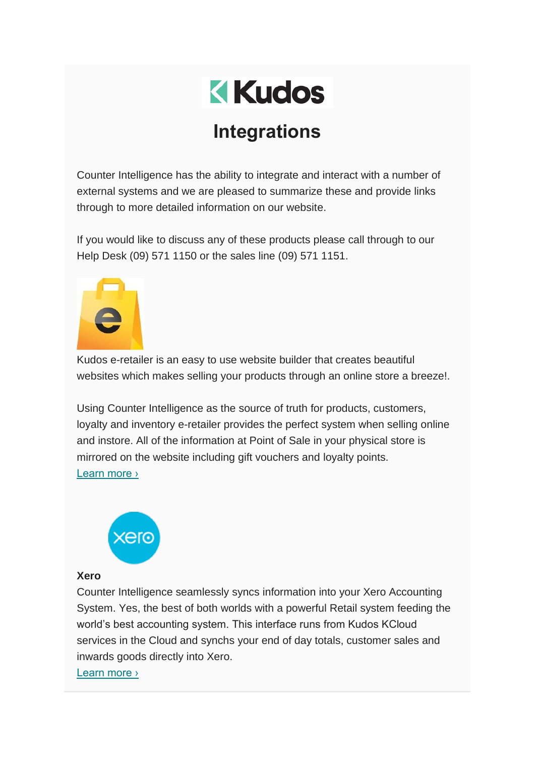

# **Integrations**

Counter Intelligence has the ability to integrate and interact with a number of external systems and we are pleased to summarize these and provide links through to more detailed information on our website.

If you would like to discuss any of these products please call through to our Help Desk (09) 571 1150 or the sales line (09) 571 1151.



Kudos e-retailer is an easy to use website builder that creates beautiful websites which makes selling your products through an online store a breeze!.

Using Counter Intelligence as the source of truth for products, customers, loyalty and inventory e-retailer provides the perfect system when selling online and instore. All of the information at Point of Sale in your physical store is mirrored on the website including gift vouchers and loyalty points. [Learn more ›](https://www.kudos.co.nz/page/e-retailer-features)



#### **Xero**

Counter Intelligence seamlessly syncs information into your Xero Accounting System. Yes, the best of both worlds with a powerful Retail system feeding the world's best accounting system. This interface runs from Kudos KCloud services in the Cloud and synchs your end of day totals, customer sales and inwards goods directly into Xero.

[Learn more ›](https://www.kudos.co.nz/page/xero-synch)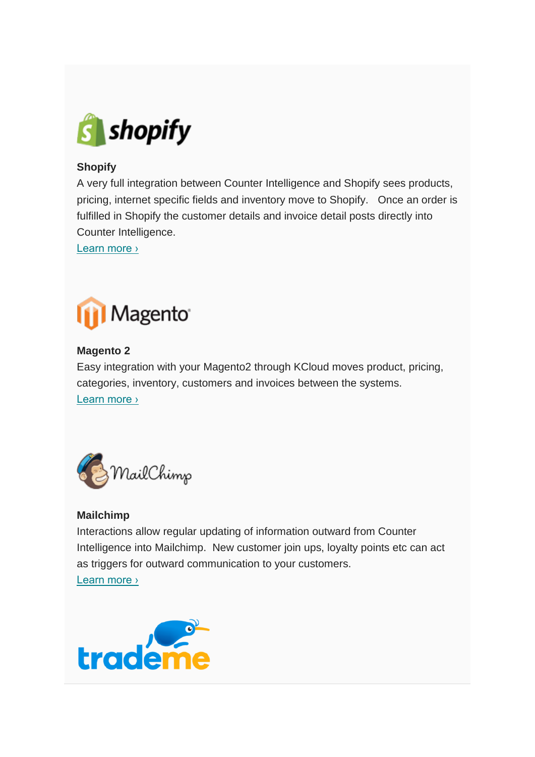

## **Shopify**

A very full integration between Counter Intelligence and Shopify sees products, pricing, internet specific fields and inventory move to Shopify. Once an order is fulfilled in Shopify the customer details and invoice detail posts directly into Counter Intelligence.

[Learn more ›](https://www.kudos.co.nz/page/shopify)



## **Magento 2**

Easy integration with your Magento2 through KCloud moves product, pricing, categories, inventory, customers and invoices between the systems. [Learn more ›](https://www.kudos.co.nz/page/magento-2)



## **Mailchimp**

Interactions allow regular updating of information outward from Counter Intelligence into Mailchimp. New customer join ups, loyalty points etc can act as triggers for outward communication to your customers.

[Learn more ›](https://www.kudos.co.nz/page/mailchimp)

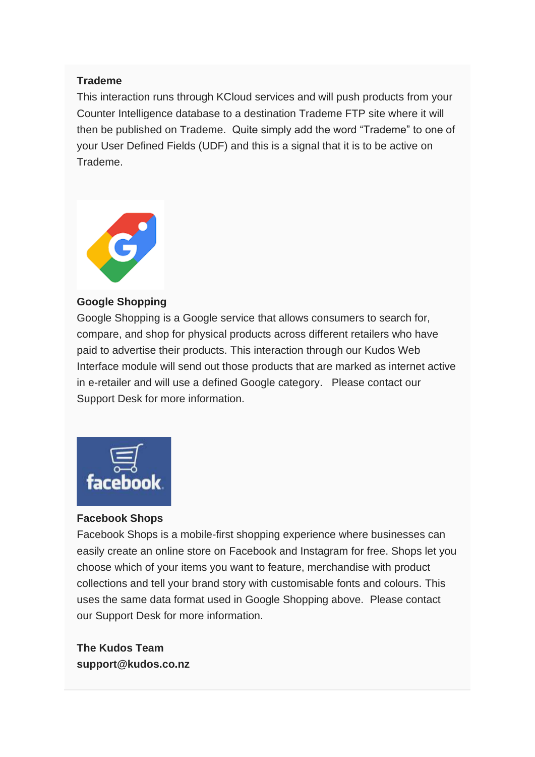#### **Trademe**

This interaction runs through KCloud services and will push products from your Counter Intelligence database to a destination Trademe FTP site where it will then be published on Trademe. Quite simply add the word "Trademe" to one of your User Defined Fields (UDF) and this is a signal that it is to be active on Trademe.



#### **Google Shopping**

Google Shopping is a Google service that allows consumers to search for, compare, and shop for physical products across different retailers who have paid to advertise their products. This interaction through our Kudos Web Interface module will send out those products that are marked as internet active in e-retailer and will use a defined Google category. Please contact our Support Desk for more information.



### **Facebook Shops**

Facebook Shops is a mobile-first shopping experience where businesses can easily create an online store on Facebook and Instagram for free. Shops let you choose which of your items you want to feature, merchandise with product collections and tell your brand story with customisable fonts and colours. This uses the same data format used in Google Shopping above. Please contact our Support Desk for more information.

**The Kudos Team support@kudos.co.nz**